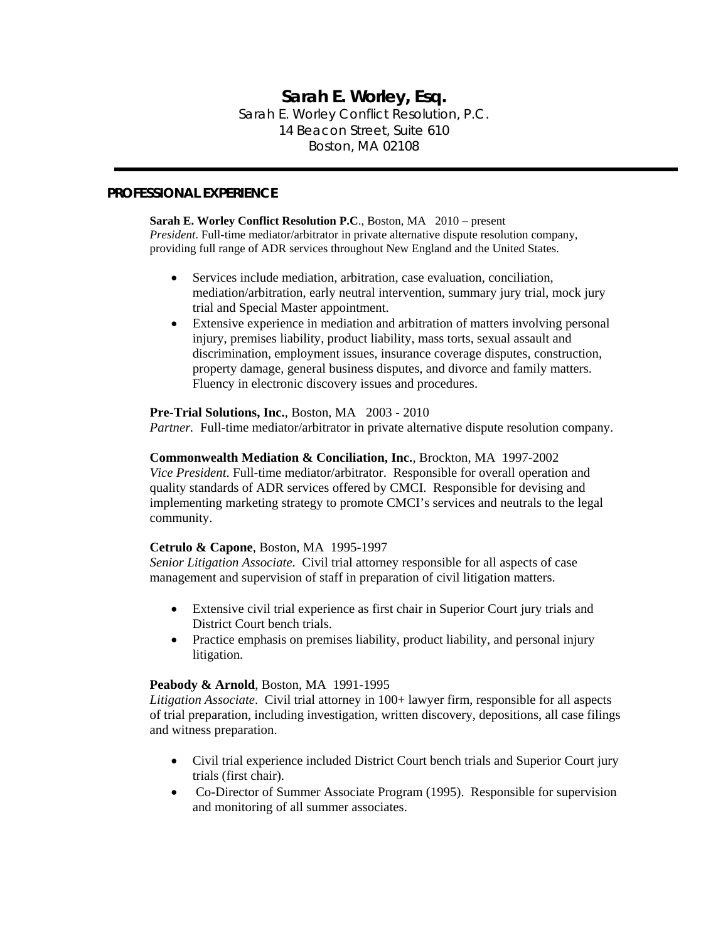# **Sarah E. Worley, Esq.**  Sarah E. Worley Conflict Resolution, P.C. 14 Beacon Street, Suite 610 Boston, MA 02108

### **PROFESSIONAL EXPERIENCE**

**Sarah E. Worley Conflict Resolution P.C**., Boston, MA 2010 – present *President*. Full-time mediator/arbitrator in private alternative dispute resolution company, providing full range of ADR services throughout New England and the United States.

- Services include mediation, arbitration, case evaluation, conciliation, mediation/arbitration, early neutral intervention, summary jury trial, mock jury trial and Special Master appointment.
- Extensive experience in mediation and arbitration of matters involving personal injury, premises liability, product liability, mass torts, sexual assault and discrimination, employment issues, insurance coverage disputes, construction, property damage, general business disputes, and divorce and family matters. Fluency in electronic discovery issues and procedures.

### **Pre-Trial Solutions, Inc.**, Boston, MA 2003 - 2010

*Partner.* Full-time mediator/arbitrator in private alternative dispute resolution company.

#### **Commonwealth Mediation & Conciliation, Inc.**, Brockton, MA 1997-2002

*Vice President*. Full-time mediator/arbitrator. Responsible for overall operation and quality standards of ADR services offered by CMCI. Responsible for devising and implementing marketing strategy to promote CMCI's services and neutrals to the legal community.

### **Cetrulo & Capone**, Boston, MA 1995-1997

*Senior Litigation Associate*. Civil trial attorney responsible for all aspects of case management and supervision of staff in preparation of civil litigation matters.

- Extensive civil trial experience as first chair in Superior Court jury trials and District Court bench trials.
- Practice emphasis on premises liability, product liability, and personal injury litigation.

#### **Peabody & Arnold**, Boston, MA 1991-1995

*Litigation Associate*. Civil trial attorney in 100+ lawyer firm, responsible for all aspects of trial preparation, including investigation, written discovery, depositions, all case filings and witness preparation.

- Civil trial experience included District Court bench trials and Superior Court jury trials (first chair).
- Co-Director of Summer Associate Program (1995). Responsible for supervision and monitoring of all summer associates.